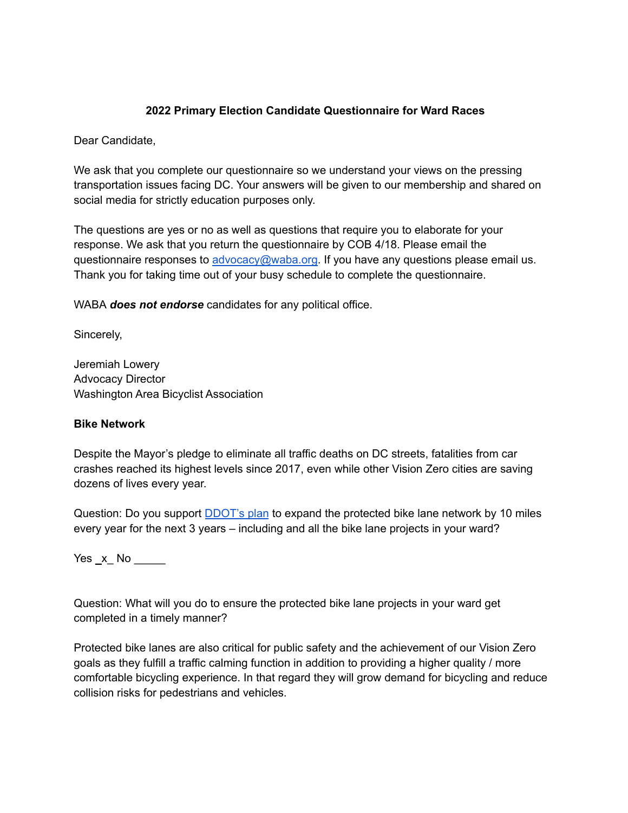### **2022 Primary Election Candidate Questionnaire for Ward Races**

Dear Candidate,

We ask that you complete our questionnaire so we understand your views on the pressing transportation issues facing DC. Your answers will be given to our membership and shared on social media for strictly education purposes only.

The questions are yes or no as well as questions that require you to elaborate for your response. We ask that you return the questionnaire by COB 4/18. Please email the questionnaire responses to [advocacy@waba.org.](mailto:jeremiah.lowery@waba.org) If you have any questions please email us. Thank you for taking time out of your busy schedule to complete the questionnaire.

WABA *does not endorse* candidates for any political office.

Sincerely,

Jeremiah Lowery Advocacy Director Washington Area Bicyclist Association

#### **Bike Network**

Despite the Mayor's pledge to eliminate all traffic deaths on DC streets, fatalities from car crashes reached its highest levels since 2017, even while other Vision Zero cities are saving dozens of lives every year.

Question: Do you support **[DDOT's plan](https://ddot.dc.gov/page/bicycle-lanes)** to expand the protected bike lane network by 10 miles every year for the next 3 years – including and all the bike lane projects in your ward?

 $Yes_x No_\_$ 

Question: What will you do to ensure the protected bike lane projects in your ward get completed in a timely manner?

Protected bike lanes are also critical for public safety and the achievement of our Vision Zero goals as they fulfill a traffic calming function in addition to providing a higher quality / more comfortable bicycling experience. In that regard they will grow demand for bicycling and reduce collision risks for pedestrians and vehicles.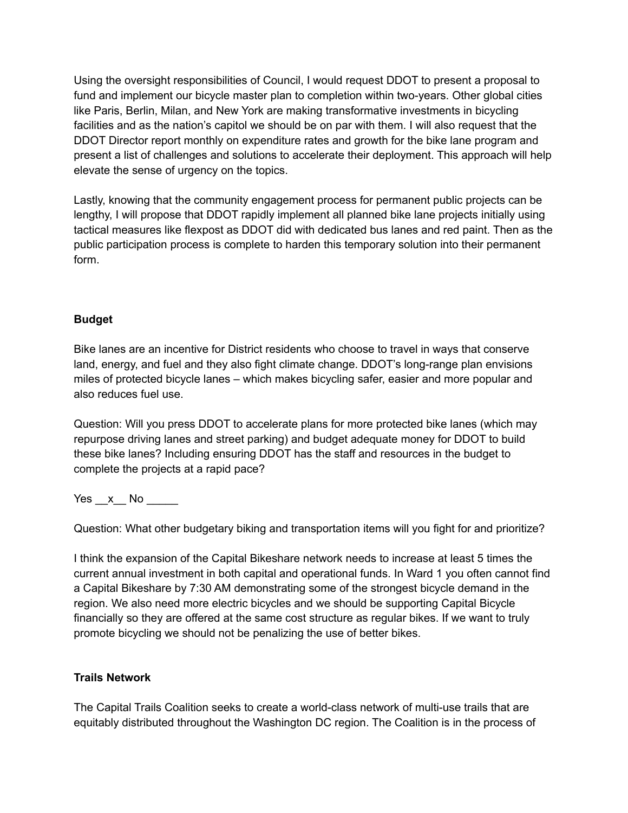Using the oversight responsibilities of Council, I would request DDOT to present a proposal to fund and implement our bicycle master plan to completion within two-years. Other global cities like Paris, Berlin, Milan, and New York are making transformative investments in bicycling facilities and as the nation's capitol we should be on par with them. I will also request that the DDOT Director report monthly on expenditure rates and growth for the bike lane program and present a list of challenges and solutions to accelerate their deployment. This approach will help elevate the sense of urgency on the topics.

Lastly, knowing that the community engagement process for permanent public projects can be lengthy, I will propose that DDOT rapidly implement all planned bike lane projects initially using tactical measures like flexpost as DDOT did with dedicated bus lanes and red paint. Then as the public participation process is complete to harden this temporary solution into their permanent form.

### **Budget**

Bike lanes are an incentive for District residents who choose to travel in ways that conserve land, energy, and fuel and they also fight climate change. DDOT's long-range plan envisions miles of protected bicycle lanes – which makes bicycling safer, easier and more popular and also reduces fuel use.

Question: Will you press DDOT to accelerate plans for more protected bike lanes (which may repurpose driving lanes and street parking) and budget adequate money for DDOT to build these bike lanes? Including ensuring DDOT has the staff and resources in the budget to complete the projects at a rapid pace?

Yes x No  $\blacksquare$ 

Question: What other budgetary biking and transportation items will you fight for and prioritize?

I think the expansion of the Capital Bikeshare network needs to increase at least 5 times the current annual investment in both capital and operational funds. In Ward 1 you often cannot find a Capital Bikeshare by 7:30 AM demonstrating some of the strongest bicycle demand in the region. We also need more electric bicycles and we should be supporting Capital Bicycle financially so they are offered at the same cost structure as regular bikes. If we want to truly promote bicycling we should not be penalizing the use of better bikes.

#### **Trails Network**

The Capital Trails Coalition seeks to create a world-class network of multi-use trails that are equitably distributed throughout the Washington DC region. The Coalition is in the process of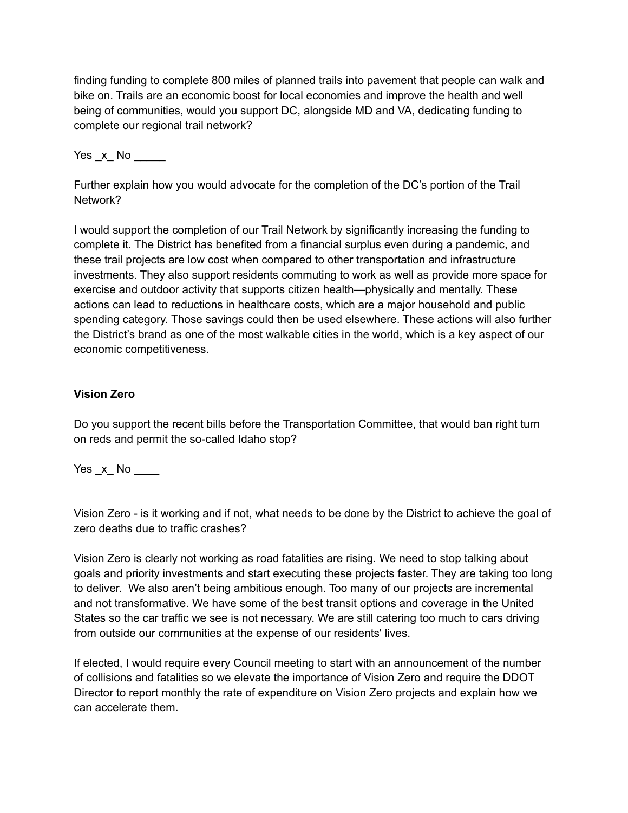finding funding to complete 800 miles of planned trails into pavement that people can walk and bike on. Trails are an economic boost for local economies and improve the health and well being of communities, would you support DC, alongside MD and VA, dedicating funding to complete our regional trail network?

 $Yes_x No_\_$ 

Further explain how you would advocate for the completion of the DC's portion of the Trail Network?

I would support the completion of our Trail Network by significantly increasing the funding to complete it. The District has benefited from a financial surplus even during a pandemic, and these trail projects are low cost when compared to other transportation and infrastructure investments. They also support residents commuting to work as well as provide more space for exercise and outdoor activity that supports citizen health—physically and mentally. These actions can lead to reductions in healthcare costs, which are a major household and public spending category. Those savings could then be used elsewhere. These actions will also further the District's brand as one of the most walkable cities in the world, which is a key aspect of our economic competitiveness.

# **Vision Zero**

Do you support the recent bills before the Transportation Committee, that would ban right turn on reds and permit the so-called Idaho stop?

 $Yes_x No$ 

Vision Zero - is it working and if not, what needs to be done by the District to achieve the goal of zero deaths due to traffic crashes?

Vision Zero is clearly not working as road fatalities are rising. We need to stop talking about goals and priority investments and start executing these projects faster. They are taking too long to deliver. We also aren't being ambitious enough. Too many of our projects are incremental and not transformative. We have some of the best transit options and coverage in the United States so the car traffic we see is not necessary. We are still catering too much to cars driving from outside our communities at the expense of our residents' lives.

If elected, I would require every Council meeting to start with an announcement of the number of collisions and fatalities so we elevate the importance of Vision Zero and require the DDOT Director to report monthly the rate of expenditure on Vision Zero projects and explain how we can accelerate them.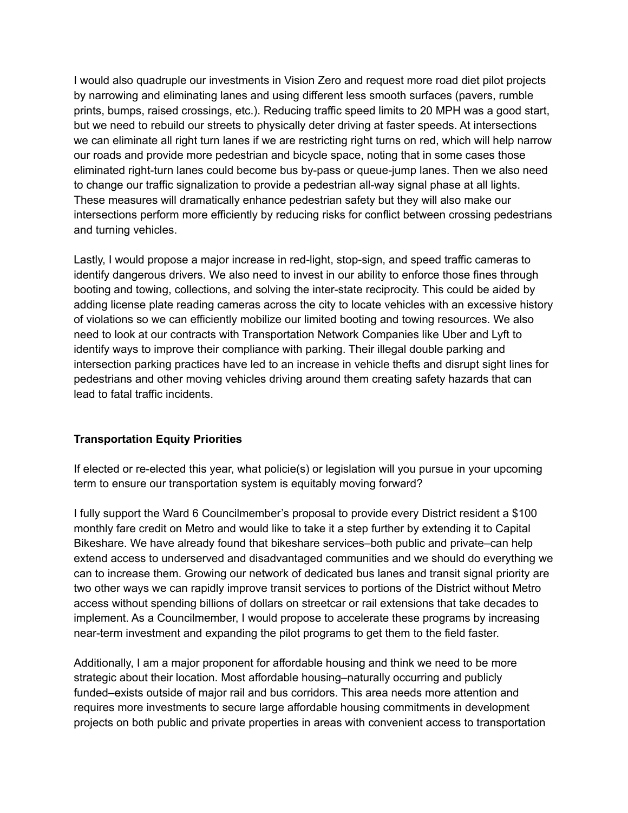I would also quadruple our investments in Vision Zero and request more road diet pilot projects by narrowing and eliminating lanes and using different less smooth surfaces (pavers, rumble prints, bumps, raised crossings, etc.). Reducing traffic speed limits to 20 MPH was a good start, but we need to rebuild our streets to physically deter driving at faster speeds. At intersections we can eliminate all right turn lanes if we are restricting right turns on red, which will help narrow our roads and provide more pedestrian and bicycle space, noting that in some cases those eliminated right-turn lanes could become bus by-pass or queue-jump lanes. Then we also need to change our traffic signalization to provide a pedestrian all-way signal phase at all lights. These measures will dramatically enhance pedestrian safety but they will also make our intersections perform more efficiently by reducing risks for conflict between crossing pedestrians and turning vehicles.

Lastly, I would propose a major increase in red-light, stop-sign, and speed traffic cameras to identify dangerous drivers. We also need to invest in our ability to enforce those fines through booting and towing, collections, and solving the inter-state reciprocity. This could be aided by adding license plate reading cameras across the city to locate vehicles with an excessive history of violations so we can efficiently mobilize our limited booting and towing resources. We also need to look at our contracts with Transportation Network Companies like Uber and Lyft to identify ways to improve their compliance with parking. Their illegal double parking and intersection parking practices have led to an increase in vehicle thefts and disrupt sight lines for pedestrians and other moving vehicles driving around them creating safety hazards that can lead to fatal traffic incidents.

# **Transportation Equity Priorities**

If elected or re-elected this year, what policie(s) or legislation will you pursue in your upcoming term to ensure our transportation system is equitably moving forward?

I fully support the Ward 6 Councilmember's proposal to provide every District resident a \$100 monthly fare credit on Metro and would like to take it a step further by extending it to Capital Bikeshare. We have already found that bikeshare services–both public and private–can help extend access to underserved and disadvantaged communities and we should do everything we can to increase them. Growing our network of dedicated bus lanes and transit signal priority are two other ways we can rapidly improve transit services to portions of the District without Metro access without spending billions of dollars on streetcar or rail extensions that take decades to implement. As a Councilmember, I would propose to accelerate these programs by increasing near-term investment and expanding the pilot programs to get them to the field faster.

Additionally, I am a major proponent for affordable housing and think we need to be more strategic about their location. Most affordable housing–naturally occurring and publicly funded–exists outside of major rail and bus corridors. This area needs more attention and requires more investments to secure large affordable housing commitments in development projects on both public and private properties in areas with convenient access to transportation